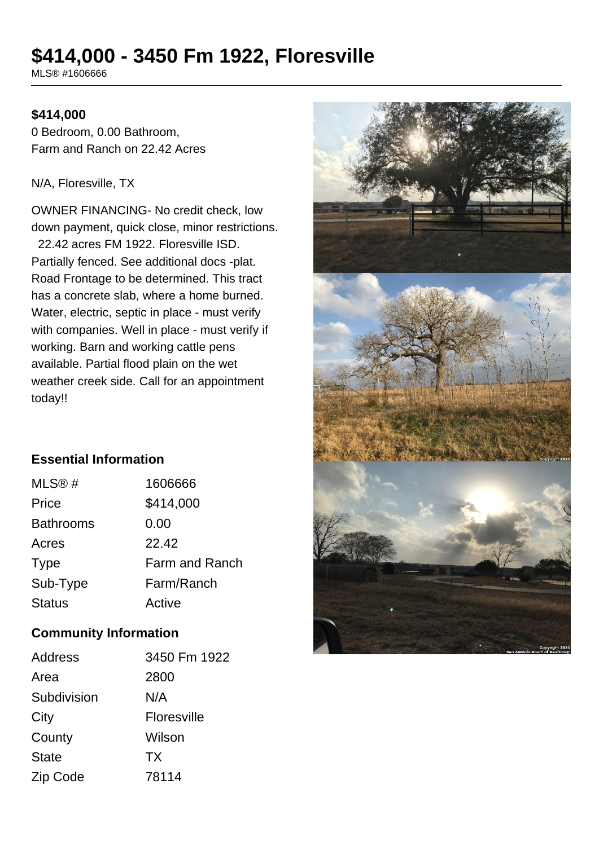# **\$414,000 - 3450 Fm 1922, Floresville**

MLS® #1606666

#### **\$414,000**

0 Bedroom, 0.00 Bathroom, Farm and Ranch on 22.42 Acres

#### N/A, Floresville, TX

OWNER FINANCING- No credit check, low down payment, quick close, minor restrictions. 22.42 acres FM 1922. Floresville ISD. Partially fenced. See additional docs -plat. Road Frontage to be determined. This tract has a concrete slab, where a home burned. Water, electric, septic in place - must verify with companies. Well in place - must verify if working. Barn and working cattle pens available. Partial flood plain on the wet weather creek side. Call for an appointment today!!

## **Essential Information**

| MLS@#            | 1606666               |
|------------------|-----------------------|
| Price            | \$414,000             |
| <b>Bathrooms</b> | 0.00                  |
| Acres            | 22.42                 |
| <b>Type</b>      | <b>Farm and Ranch</b> |
| Sub-Type         | Farm/Ranch            |
| <b>Status</b>    | Active                |

### **Community Information**

| Address      | 3450 Fm 1922 |
|--------------|--------------|
| Area         | 2800         |
| Subdivision  | N/A          |
| City         | Floresville  |
| County       | Wilson       |
| <b>State</b> | <b>TX</b>    |
| Zip Code     | 78114        |